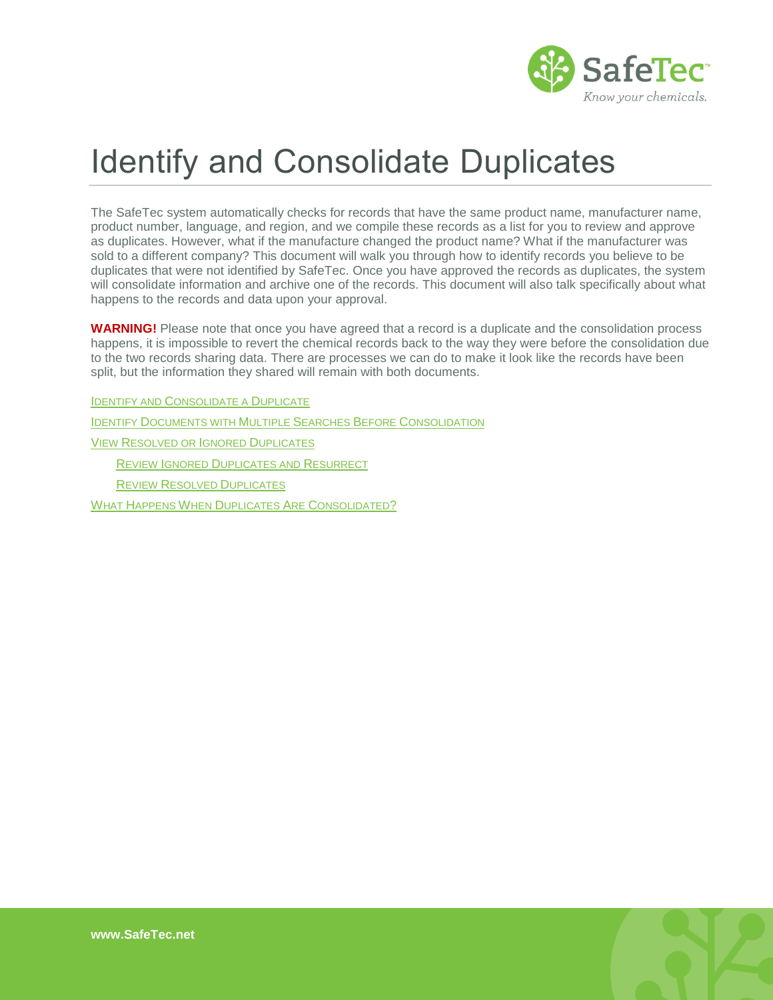

# Identify and Consolidate Duplicates

The SafeTec system automatically checks for records that have the same product name, manufacturer name, product number, language, and region, and we compile these records as a list for you to review and approve as duplicates. However, what if the manufacture changed the product name? What if the manufacturer was sold to a different company? This document will walk you through how to identify records you believe to be duplicates that were not identified by SafeTec. Once you have approved the records as duplicates, the system will consolidate information and archive one of the records. This document will also talk specifically about what happens to the records and data upon your approval.

**WARNING!** Please note that once you have agreed that a record is a duplicate and the consolidation process happens, it is impossible to revert the chemical records back to the way they were before the consolidation due to the two records sharing data. There are processes we can do to make it look like the records have been split, but the information they shared will remain with both documents.

IDENTIFY AND C[ONSOLIDATE A](#page-1-0) DUPLICATE

IDENTIFY D[OCUMENTS WITH](#page-2-0) MULTIPLE SEARCHES BEFORE CONSOLIDATION

VIEW R[ESOLVED OR](#page-4-0) IGNORED DUPLICATES

REVIEW IGNORED D[UPLICATES AND](#page-4-1) RESURRECT

REVIEW RESOLVED D[UPLICATES](#page-5-0)

WHAT HAPPENS WHEN DUPLICATES ARE C[ONSOLIDATED](#page-5-1)?

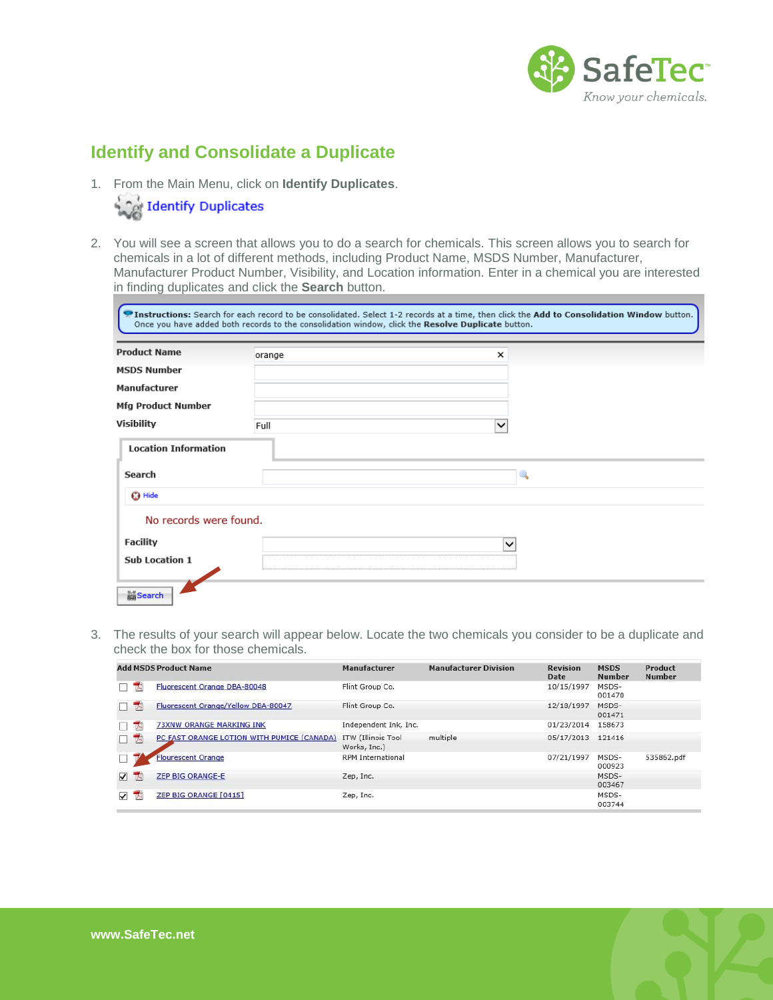

## <span id="page-1-0"></span>**Identify and Consolidate a Duplicate**

1. From the Main Menu, click on **Identify Duplicates**.



2. You will see a screen that allows you to do a search for chemicals. This screen allows you to search for chemicals in a lot of different methods, including Product Name, MSDS Number, Manufacturer, Manufacturer Product Number, Visibility, and Location information. Enter in a chemical you are interested in finding duplicates and click the **Search** button.

| <b>Product Name</b>         | orange | ×            |  |
|-----------------------------|--------|--------------|--|
| <b>MSDS Number</b>          |        |              |  |
| Manufacturer                |        |              |  |
| <b>Mfg Product Number</b>   |        |              |  |
| Visibility                  | Full   | $\checkmark$ |  |
| <b>Location Information</b> |        |              |  |
| Search                      |        |              |  |
| <b>3</b> Hide               |        |              |  |
| No records were found.      |        |              |  |
| <b>Facility</b>             |        |              |  |
| <b>Sub Location 1</b>       |        |              |  |

3. The results of your search will appear below. Locate the two chemicals you consider to be a duplicate and check the box for those chemicals.

| <b>Add MSDS Product Name</b> |   |                                            | Manufacturer                       | <b>Manufacturer Division</b> | <b>Revision</b><br>Date | <b>MSDS</b><br><b>Number</b> | Product<br><b>Number</b> |
|------------------------------|---|--------------------------------------------|------------------------------------|------------------------------|-------------------------|------------------------------|--------------------------|
|                              | 天 | Fluorescent Orange DBA-80048               | Flint Group Co.                    |                              | 10/15/1997              | MSDS-<br>001470              |                          |
|                              | 罗 | Fluorescent Orange/Yellow DBA-80047        | Flint Group Co.                    |                              | 12/18/1997              | MSDS-<br>001471              |                          |
|                              | 天 | <b>73XNW ORANGE MARKING INK</b>            | Independent Ink, Inc.              |                              | 01/23/2014              | 158673                       |                          |
| H.                           | Z | PC FAST ORANGE LOTION WITH PUMICE (CANADA) | ITW (Illinois Tool<br>Works, Inc.) | multiple                     | 05/17/2013              | 121416                       |                          |
|                              |   | <b>Flourescent Orange</b>                  | <b>RPM</b> International           |                              | 07/21/1997              | MSDS-<br>000923              | 535862.pdf               |
| ⊽                            | 两 | <b>ZEP BIG ORANGE-E</b>                    | Zep, Inc.                          |                              |                         | MSDS-<br>003467              |                          |
| $\checkmark$                 | 天 | ZEP BIG ORANGE [0415]                      | Zep, Inc.                          |                              |                         | MSDS-<br>003744              |                          |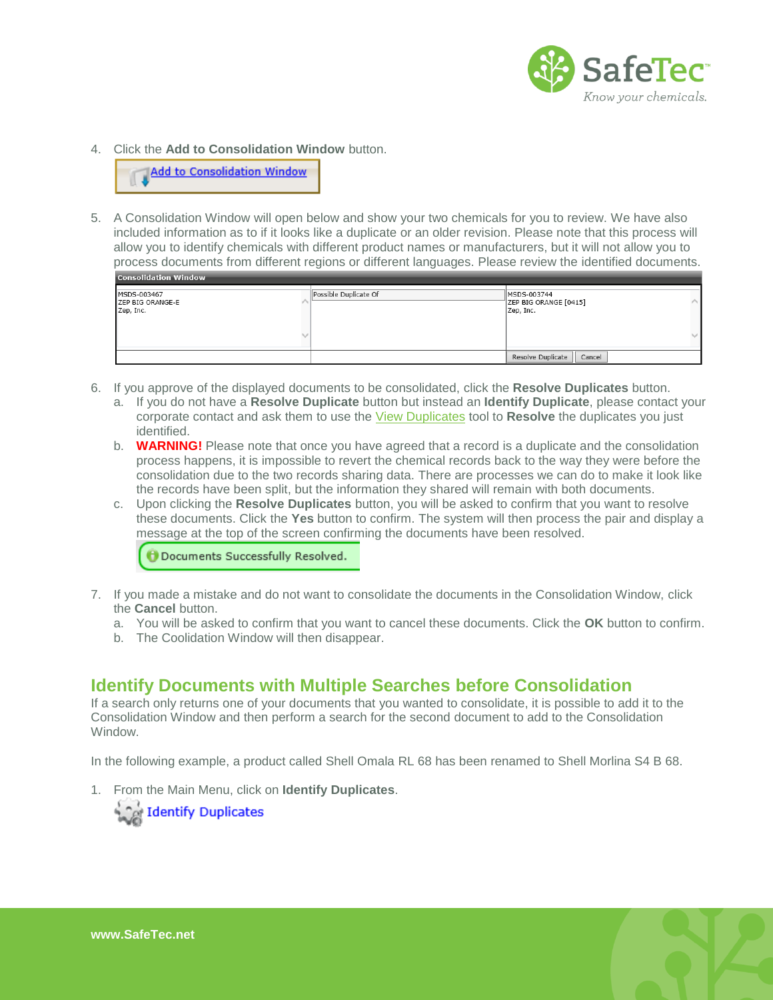

4. Click the **Add to Consolidation Window** button.

**Add to Consolidation Window** 

5. A Consolidation Window will open below and show your two chemicals for you to review. We have also included information as to if it looks like a duplicate or an older revision. Please note that this process will allow you to identify chemicals with different product names or manufacturers, but it will not allow you to process documents from different regions or different languages. Please review the identified documents.

| <b>Lenisonuation window</b>                  |                       |                                                   |  |  |  |  |  |  |  |  |
|----------------------------------------------|-----------------------|---------------------------------------------------|--|--|--|--|--|--|--|--|
| MSDS-003467<br>ZEP BIG ORANGE-E<br>Zep, Inc. | Possible Duplicate Of | MSDS-003744<br>ZEP BIG ORANGE [0415]<br>Zep, Inc. |  |  |  |  |  |  |  |  |
|                                              |                       |                                                   |  |  |  |  |  |  |  |  |
|                                              |                       | Resolve Duplicate<br>Cancel                       |  |  |  |  |  |  |  |  |

- 6. If you approve of the displayed documents to be consolidated, click the **Resolve Duplicates** button.
	- a. If you do not have a **Resolve Duplicate** button but instead an **Identify Duplicate**, please contact your corporate contact and ask them to use the [View Duplicates](http://www.safetec.net/wp-content/uploads/2014/08/help-duplicate-resolution-1.pdf) tool to **Resolve** the duplicates you just identified.
	- b. **WARNING!** Please note that once you have agreed that a record is a duplicate and the consolidation process happens, it is impossible to revert the chemical records back to the way they were before the consolidation due to the two records sharing data. There are processes we can do to make it look like the records have been split, but the information they shared will remain with both documents.
	- c. Upon clicking the **Resolve Duplicates** button, you will be asked to confirm that you want to resolve these documents. Click the **Yes** button to confirm. The system will then process the pair and display a message at the top of the screen confirming the documents have been resolved.

**Documents Successfully Resolved.** 

- 7. If you made a mistake and do not want to consolidate the documents in the Consolidation Window, click the **Cancel** button.
	- a. You will be asked to confirm that you want to cancel these documents. Click the **OK** button to confirm.
	- b. The Coolidation Window will then disappear.

#### <span id="page-2-0"></span>**Identify Documents with Multiple Searches before Consolidation**

If a search only returns one of your documents that you wanted to consolidate, it is possible to add it to the Consolidation Window and then perform a search for the second document to add to the Consolidation Window.

In the following example, a product called Shell Omala RL 68 has been renamed to Shell Morlina S4 B 68.

1. From the Main Menu, click on **Identify Duplicates**.



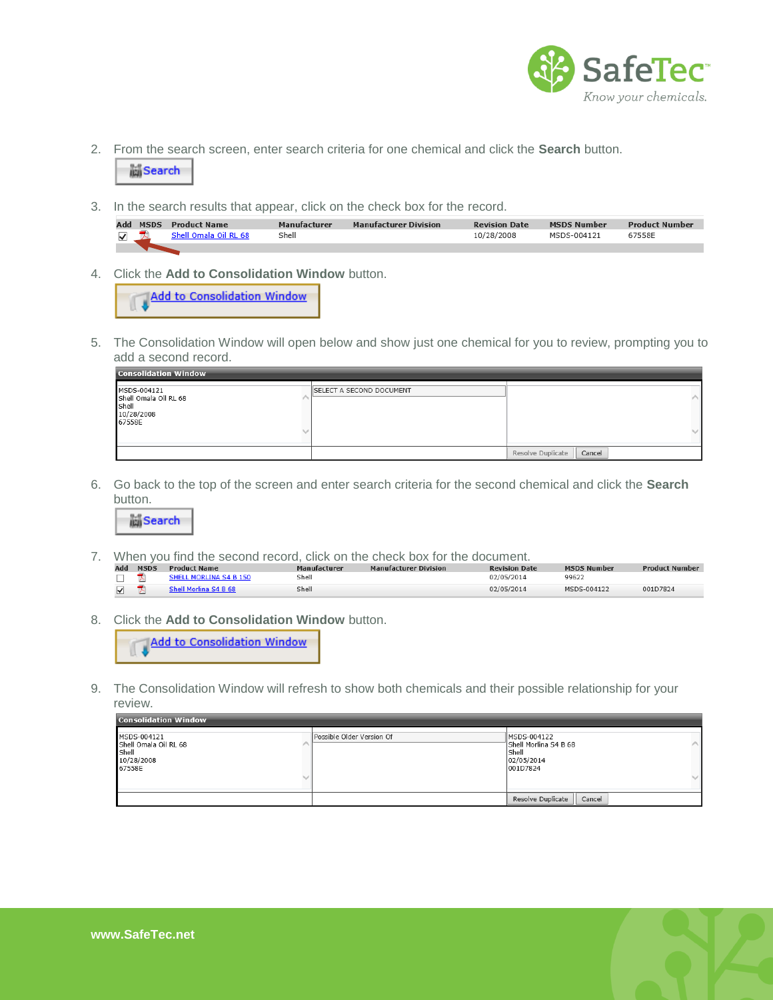

- 2. From the search screen, enter search criteria for one chemical and click the **Search** button. **当Search**
- 3. In the search results that appear, click on the check box for the record.

|  | <b>Add MSDS Product Name</b> | Manufacturer | <b>Manufacturer Division</b> | <b>Revision Date</b> | <b>MSDS Number</b> | <b>Product Number</b> |
|--|------------------------------|--------------|------------------------------|----------------------|--------------------|-----------------------|
|  | Shell Omala Oil RL 68        | Shell        |                              | 10/28/2008           | MSDS-004121        | 67558E                |
|  |                              |              |                              |                      |                    |                       |

4. Click the **Add to Consolidation Window** button.

Add to Consolidation Window

5. The Consolidation Window will open below and show just one chemical for you to review, prompting you to add a second record.

| <b>Consolidation Window</b><br>MSDS-004121<br>Shell Omala Oil RL 68<br>Shell | <b>ISELECT A SECOND DOCUMENT</b> |                             |
|------------------------------------------------------------------------------|----------------------------------|-----------------------------|
| 10/28/2008<br>67558E                                                         |                                  |                             |
|                                                                              |                                  | Resolve Duplicate<br>Cancel |

6. Go back to the top of the screen and enter search criteria for the second chemical and click the **Search**  button.



7. When you find the second record, click on the check box for the document.

| Add | <b>MSDS</b> | <b>Product Name</b>    | Manufacturer | <b>Manufacturer Division</b> | <b>Revision Date</b> | <b>MSDS Number</b> | <b>Product Number</b> |
|-----|-------------|------------------------|--------------|------------------------------|----------------------|--------------------|-----------------------|
|     |             | SHELL MORLINA S4 B 150 | Shell        |                              | 02/05/2014           | 99622              |                       |
|     |             |                        | Shell        |                              | 02/05/2014           | MSDS-004122        | 001D7824              |

8. Click the **Add to Consolidation Window** button.

Add to Consolidation Window

9. The Consolidation Window will refresh to show both chemicals and their possible relationship for your review.

| <b>Consolidation Window</b> |  |
|-----------------------------|--|
|                             |  |

| MSDS-004121<br>Shell Omala Oil RL 68<br>Shell<br>10/28/2008<br>67558E | Possible Older Version Of | MSDS-004122<br>Shell Morlina S4 B 68<br>Shell<br>02/05/2014<br>001D7824 |
|-----------------------------------------------------------------------|---------------------------|-------------------------------------------------------------------------|
|                                                                       |                           | Resolve Duplicate<br>Cancel                                             |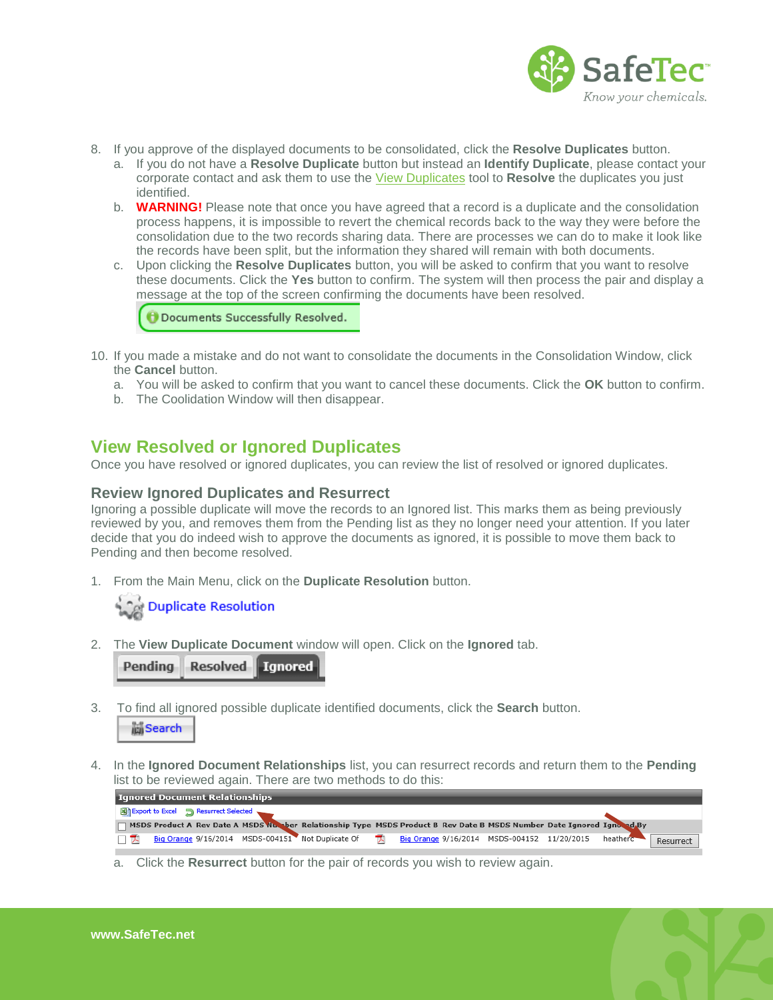

- 8. If you approve of the displayed documents to be consolidated, click the **Resolve Duplicates** button.
	- a. If you do not have a **Resolve Duplicate** button but instead an **Identify Duplicate**, please contact your corporate contact and ask them to use the [View Duplicates](http://www.safetec.net/wp-content/uploads/2014/08/help-duplicate-resolution-1.pdf) tool to **Resolve** the duplicates you just identified.
	- b. **WARNING!** Please note that once you have agreed that a record is a duplicate and the consolidation process happens, it is impossible to revert the chemical records back to the way they were before the consolidation due to the two records sharing data. There are processes we can do to make it look like the records have been split, but the information they shared will remain with both documents.
	- c. Upon clicking the **Resolve Duplicates** button, you will be asked to confirm that you want to resolve these documents. Click the **Yes** button to confirm. The system will then process the pair and display a message at the top of the screen confirming the documents have been resolved.

**O** Documents Successfully Resolved.

- 10. If you made a mistake and do not want to consolidate the documents in the Consolidation Window, click the **Cancel** button.
	- a. You will be asked to confirm that you want to cancel these documents. Click the **OK** button to confirm.
	- b. The Coolidation Window will then disappear.

### <span id="page-4-0"></span>**View Resolved or Ignored Duplicates**

<span id="page-4-1"></span>Once you have resolved or ignored duplicates, you can review the list of resolved or ignored duplicates.

#### **Review Ignored Duplicates and Resurrect**

Ignoring a possible duplicate will move the records to an Ignored list. This marks them as being previously reviewed by you, and removes them from the Pending list as they no longer need your attention. If you later decide that you do indeed wish to approve the documents as ignored, it is possible to move them back to Pending and then become resolved.

1. From the Main Menu, click on the **Duplicate Resolution** button.



2. The **View Duplicate Document** window will open. Click on the **Ignored** tab.



3. To find all ignored possible duplicate identified documents, click the **Search** button.



4. In the **Ignored Document Relationships** list, you can resurrect records and return them to the **Pending**  list to be reviewed again. There are two methods to do this:



a. Click the **Resurrect** button for the pair of records you wish to review again.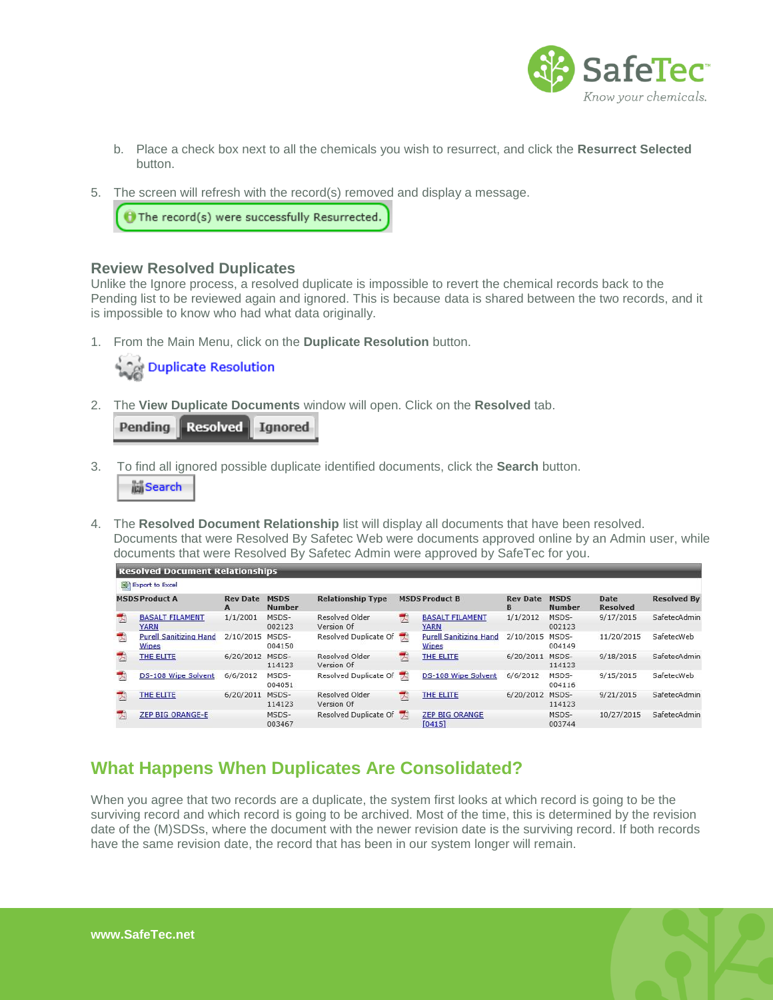

- b. Place a check box next to all the chemicals you wish to resurrect, and click the **Resurrect Selected**  button.
- 5. The screen will refresh with the record(s) removed and display a message.

 $\Theta$  The record(s) were successfully Resurrected.

#### <span id="page-5-0"></span>**Review Resolved Duplicates**

Unlike the Ignore process, a resolved duplicate is impossible to revert the chemical records back to the Pending list to be reviewed again and ignored. This is because data is shared between the two records, and it is impossible to know who had what data originally.

1. From the Main Menu, click on the **Duplicate Resolution** button.



2. The **View Duplicate Documents** window will open. Click on the **Resolved** tab.

Pendina **Resolved | Ignored** 

- 3. To find all ignored possible duplicate identified documents, click the **Search** button. **Search**
- 4. The **Resolved Document Relationship** list will display all documents that have been resolved. Documents that were Resolved By Safetec Web were documents approved online by an Admin user, while documents that were Resolved By Safetec Admin were approved by SafeTec for you.

|                         | Resolved Document Relationships               |                      |                              |                                                   |   |                                               |                      |                              |                         |                    |
|-------------------------|-----------------------------------------------|----------------------|------------------------------|---------------------------------------------------|---|-----------------------------------------------|----------------------|------------------------------|-------------------------|--------------------|
|                         | Export to Excel                               |                      |                              |                                                   |   |                                               |                      |                              |                         |                    |
| <b>MSDS Product A</b>   |                                               | <b>Rev Date</b><br>A | <b>MSDS</b><br><b>Number</b> | <b>Relationship Type</b><br><b>MSDS Product B</b> |   |                                               | <b>Rev Date</b><br>B | <b>MSDS</b><br><b>Number</b> | Date<br><b>Resolved</b> | <b>Resolved By</b> |
| 内                       | <b>BASALT FILAMENT</b><br><b>YARN</b>         | 1/1/2001             | MSDS-<br>002123              | Resolved Older<br>Version Of                      | 呐 | <b>BASALT FILAMENT</b><br><b>YARN</b>         | 1/1/2012             | MSDS-<br>002123              | 9/17/2015               | SafetecAdmin       |
| $\overline{\mathbf{z}}$ | <b>Purell Sanitizing Hand</b><br><b>Wipes</b> | 2/10/2015            | MSDS-<br>004150              | Resolved Duplicate Of                             |   | <b>Purell Sanitizing Hand</b><br><b>Wipes</b> | 2/10/2015 MSDS-      | 004149                       | 11/20/2015              | SafetecWeb         |
| 눳                       | THE ELITE                                     | 6/20/2012            | MSDS-<br>114123              | Resolved Older<br>Version Of                      | 因 | THE ELITE                                     | 6/20/2011            | MSDS-<br>114123              | 9/18/2015               | SafetecAdmin       |
| 丙                       | DS-108 Wipe Solvent                           | 6/6/2012             | MSDS-<br>004051              | Resolved Duplicate Of                             |   | DS-108 Wipe Solvent                           | 6/6/2012             | MSDS-<br>004116              | 9/15/2015               | SafetecWeb         |
|                         | THE ELITE                                     | 6/20/2011            | MSDS-<br>114123              | Resolved Older<br>Version Of                      | 码 | THE ELITE                                     | 6/20/2012 MSDS-      | 114123                       | 9/21/2015               | SafetecAdmin       |
|                         | <b>ZEP BIG ORANGE-E</b>                       |                      | MSDS-<br>003467              | Resolved Duplicate Of                             |   | <b>ZEP BIG ORANGE</b><br>[0415]               |                      | MSDS-<br>003744              | 10/27/2015              | SafetecAdmin       |

## <span id="page-5-1"></span>**What Happens When Duplicates Are Consolidated?**

When you agree that two records are a duplicate, the system first looks at which record is going to be the surviving record and which record is going to be archived. Most of the time, this is determined by the revision date of the (M)SDSs, where the document with the newer revision date is the surviving record. If both records have the same revision date, the record that has been in our system longer will remain.